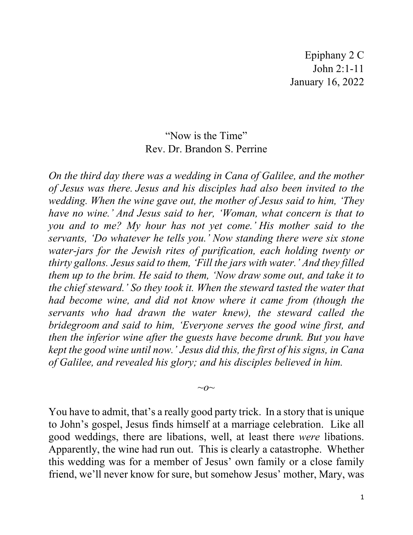Epiphany 2 C John 2:1-11 January 16, 2022

## "Now is the Time" Rev. Dr. Brandon S. Perrine

*On the third day there was a wedding in Cana of Galilee, and the mother of Jesus was there. Jesus and his disciples had also been invited to the wedding. When the wine gave out, the mother of Jesus said to him, 'They have no wine.' And Jesus said to her, 'Woman, what concern is that to you and to me? My hour has not yet come.' His mother said to the servants, 'Do whatever he tells you.' Now standing there were six stone water-jars for the Jewish rites of purification, each holding twenty or thirty gallons. Jesus said to them, 'Fill the jars with water.' And they filled them up to the brim. He said to them, 'Now draw some out, and take it to the chief steward.' So they took it. When the steward tasted the water that had become wine, and did not know where it came from (though the servants who had drawn the water knew), the steward called the bridegroom and said to him, 'Everyone serves the good wine first, and then the inferior wine after the guests have become drunk. But you have kept the good wine until now.' Jesus did this, the first of his signs, in Cana of Galilee, and revealed his glory; and his disciples believed in him.*

 $\sim$ *o* $\sim$ 

You have to admit, that's a really good party trick. In a story that is unique to John's gospel, Jesus finds himself at a marriage celebration. Like all good weddings, there are libations, well, at least there *were* libations. Apparently, the wine had run out. This is clearly a catastrophe. Whether this wedding was for a member of Jesus' own family or a close family friend, we'll never know for sure, but somehow Jesus' mother, Mary, was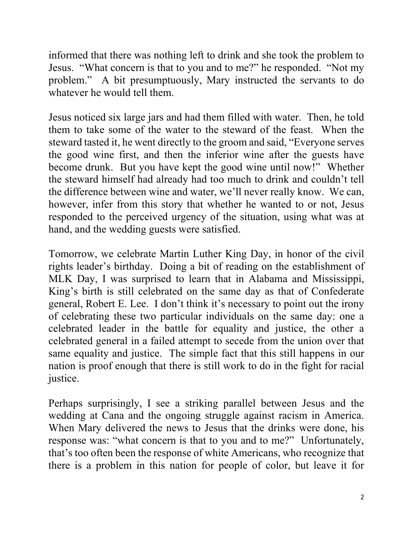informed that there was nothing left to drink and she took the problem to Jesus. "What concern is that to you and to me?" he responded. "Not my problem." A bit presumptuously, Mary instructed the servants to do whatever he would tell them.

Jesus noticed six large jars and had them filled with water. Then, he told them to take some of the water to the steward of the feast. When the steward tasted it, he went directly to the groom and said, "Everyone serves the good wine first, and then the inferior wine after the guests have become drunk. But you have kept the good wine until now!" Whether the steward himself had already had too much to drink and couldn't tell the difference between wine and water, we'll never really know. We can, however, infer from this story that whether he wanted to or not, Jesus responded to the perceived urgency of the situation, using what was at hand, and the wedding guests were satisfied.

Tomorrow, we celebrate Martin Luther King Day, in honor of the civil rights leader's birthday. Doing a bit of reading on the establishment of MLK Day, I was surprised to learn that in Alabama and Mississippi, King's birth is still celebrated on the same day as that of Confederate general, Robert E. Lee. I don't think it's necessary to point out the irony of celebrating these two particular individuals on the same day: one a celebrated leader in the battle for equality and justice, the other a celebrated general in a failed attempt to secede from the union over that same equality and justice. The simple fact that this still happens in our nation is proof enough that there is still work to do in the fight for racial justice.

Perhaps surprisingly, I see a striking parallel between Jesus and the wedding at Cana and the ongoing struggle against racism in America. When Mary delivered the news to Jesus that the drinks were done, his response was: "what concern is that to you and to me?" Unfortunately, that's too often been the response of white Americans, who recognize that there is a problem in this nation for people of color, but leave it for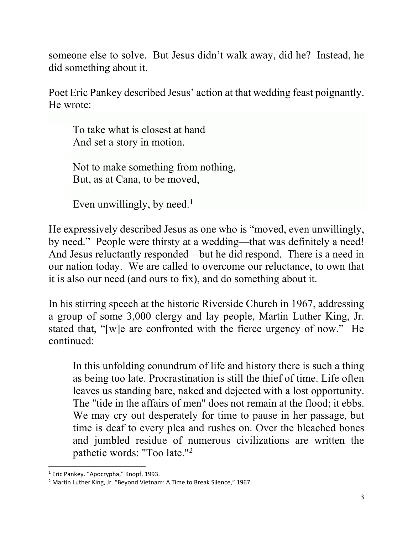someone else to solve. But Jesus didn't walk away, did he? Instead, he did something about it.

Poet Eric Pankey described Jesus' action at that wedding feast poignantly. He wrote:

To take what is closest at hand And set a story in motion.

Not to make something from nothing, But, as at Cana, to be moved,

Even unwillingly, by need.<sup>[1](#page-2-0)</sup>

He expressively described Jesus as one who is "moved, even unwillingly, by need." People were thirsty at a wedding—that was definitely a need! And Jesus reluctantly responded—but he did respond. There is a need in our nation today. We are called to overcome our reluctance, to own that it is also our need (and ours to fix), and do something about it.

In his stirring speech at the historic Riverside Church in 1967, addressing a group of some 3,000 clergy and lay people, Martin Luther King, Jr. stated that, "[w]e are confronted with the fierce urgency of now." He continued:

In this unfolding conundrum of life and history there is such a thing as being too late. Procrastination is still the thief of time. Life often leaves us standing bare, naked and dejected with a lost opportunity. The "tide in the affairs of men" does not remain at the flood; it ebbs. We may cry out desperately for time to pause in her passage, but time is deaf to every plea and rushes on. Over the bleached bones and jumbled residue of numerous civilizations are written the pathetic words: "Too late."[2](#page-2-1)

<span id="page-2-0"></span><sup>&</sup>lt;sup>1</sup> Eric Pankey. "Apocrypha," Knopf, 1993.

<span id="page-2-1"></span><sup>&</sup>lt;sup>2</sup> Martin Luther King, Jr. "Beyond Vietnam: A Time to Break Silence," 1967.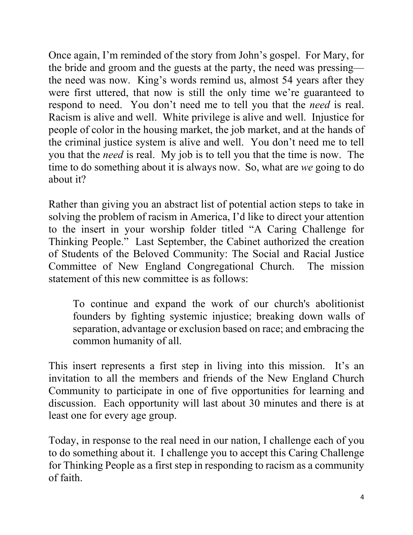Once again, I'm reminded of the story from John's gospel. For Mary, for the bride and groom and the guests at the party, the need was pressing the need was now. King's words remind us, almost 54 years after they were first uttered, that now is still the only time we're guaranteed to respond to need. You don't need me to tell you that the *need* is real. Racism is alive and well. White privilege is alive and well. Injustice for people of color in the housing market, the job market, and at the hands of the criminal justice system is alive and well. You don't need me to tell you that the *need* is real. My job is to tell you that the time is now. The time to do something about it is always now. So, what are *we* going to do about it?

Rather than giving you an abstract list of potential action steps to take in solving the problem of racism in America, I'd like to direct your attention to the insert in your worship folder titled "A Caring Challenge for Thinking People." Last September, the Cabinet authorized the creation of Students of the Beloved Community: The Social and Racial Justice Committee of New England Congregational Church. The mission statement of this new committee is as follows:

To continue and expand the work of our church's abolitionist founders by fighting systemic injustice; breaking down walls of separation, advantage or exclusion based on race; and embracing the common humanity of all.

This insert represents a first step in living into this mission. It's an invitation to all the members and friends of the New England Church Community to participate in one of five opportunities for learning and discussion. Each opportunity will last about 30 minutes and there is at least one for every age group.

Today, in response to the real need in our nation, I challenge each of you to do something about it. I challenge you to accept this Caring Challenge for Thinking People as a first step in responding to racism as a community of faith.